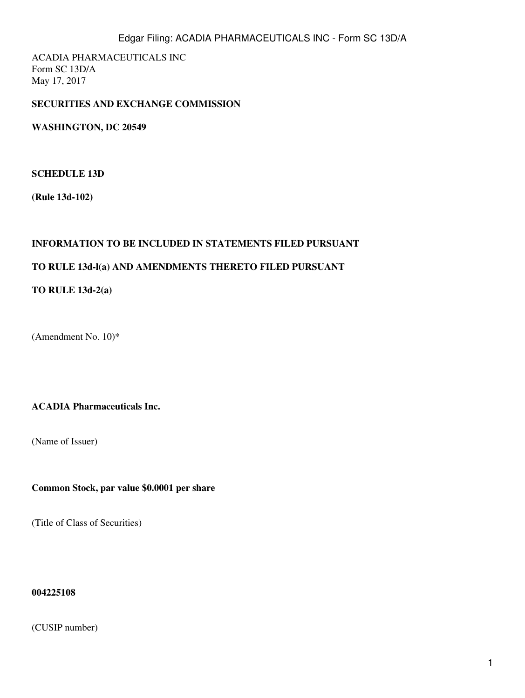ACADIA PHARMACEUTICALS INC Form SC 13D/A May 17, 2017

# **SECURITIES AND EXCHANGE COMMISSION**

**WASHINGTON, DC 20549**

## **SCHEDULE 13D**

**(Rule 13d-102)**

# **INFORMATION TO BE INCLUDED IN STATEMENTS FILED PURSUANT**

# **TO RULE 13d-l(a) AND AMENDMENTS THERETO FILED PURSUANT**

# **TO RULE 13d-2(a)**

(Amendment No. 10)\*

## **ACADIA Pharmaceuticals Inc.**

(Name of Issuer)

**Common Stock, par value \$0.0001 per share**

(Title of Class of Securities)

#### **004225108**

(CUSIP number)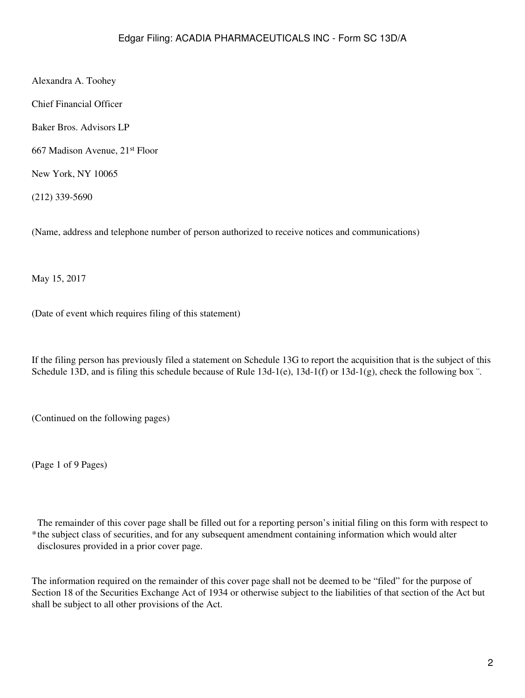Alexandra A. Toohey

Chief Financial Officer

Baker Bros. Advisors LP

667 Madison Avenue, 21st Floor

New York, NY 10065

(212) 339-5690

(Name, address and telephone number of person authorized to receive notices and communications)

May 15, 2017

(Date of event which requires filing of this statement)

If the filing person has previously filed a statement on Schedule 13G to report the acquisition that is the subject of this Schedule 13D, and is filing this schedule because of Rule 13d-1(e), 13d-1(f) or 13d-1(g), check the following box ".

(Continued on the following pages)

(Page 1 of 9 Pages)

\* the subject class of securities, and for any subsequent amendment containing information which would alter The remainder of this cover page shall be filled out for a reporting person's initial filing on this form with respect to disclosures provided in a prior cover page.

The information required on the remainder of this cover page shall not be deemed to be "filed" for the purpose of Section 18 of the Securities Exchange Act of 1934 or otherwise subject to the liabilities of that section of the Act but shall be subject to all other provisions of the Act.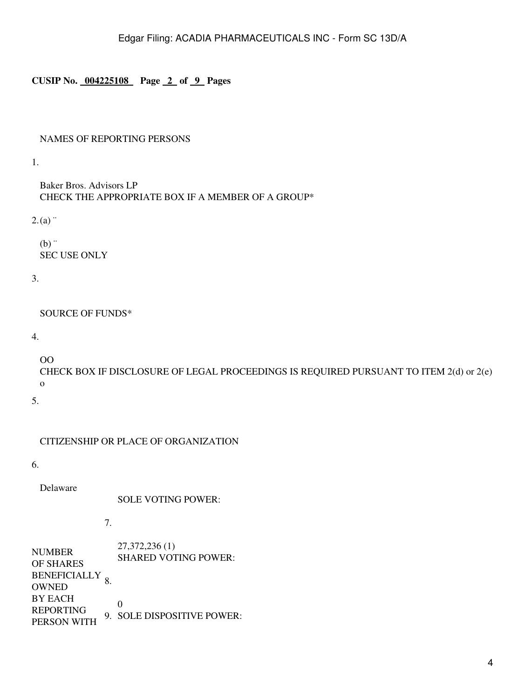# **CUSIP No. 004225108 Page 2 of 9 Pages**

# NAMES OF REPORTING PERSONS

1.

Baker Bros. Advisors LP CHECK THE APPROPRIATE BOX IF A MEMBER OF A GROUP\* 

 $2(a)$ 

 $(b)$  " SEC USE ONLY

3.

SOURCE OF FUNDS\*

4.

OO

CHECK BOX IF DISCLOSURE OF LEGAL PROCEEDINGS IS REQUIRED PURSUANT TO ITEM 2(d) or 2(e) o

5.

CITIZENSHIP OR PLACE OF ORGANIZATION

6.

Delaware

SOLE VOTING POWER:

7.

| <b>NUMBER</b><br>OF SHARES | 27, 372, 236 (1)<br><b>SHARED VOTING POWER:</b> |
|----------------------------|-------------------------------------------------|
| BENEFICIALLY <sub>o</sub>  |                                                 |
| <b>OWNED</b>               |                                                 |
| <b>BY EACH</b>             | $\mathbf{\Omega}$                               |
| <b>REPORTING</b>           | 9. SOLE DISPOSITIVE POWER:                      |
| PERSON WITH                |                                                 |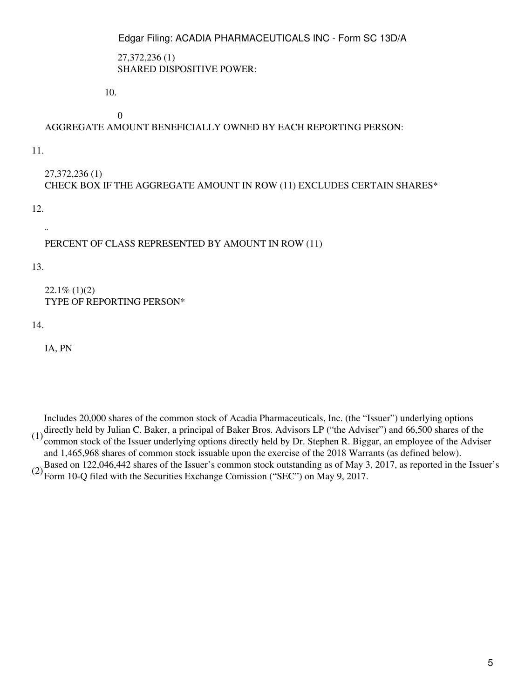27,372,236 (1) SHARED DISPOSITIVE POWER:

10.

0

AGGREGATE AMOUNT BENEFICIALLY OWNED BY EACH REPORTING PERSON:

11.

27,372,236 (1) CHECK BOX IF THE AGGREGATE AMOUNT IN ROW (11) EXCLUDES CERTAIN SHARES\*

12.

¨

PERCENT OF CLASS REPRESENTED BY AMOUNT IN ROW (11)

13.

 $22.1\%$  (1)(2) TYPE OF REPORTING PERSON\*

14.

IA, PN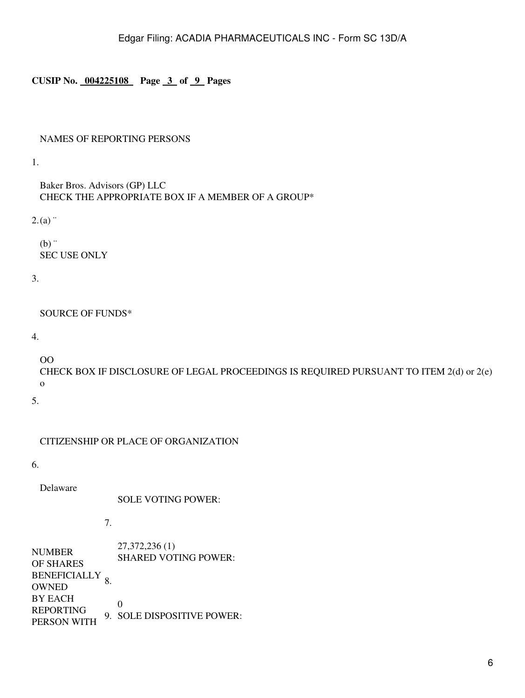## **CUSIP No. 004225108 Page 3 of 9 Pages**

## NAMES OF REPORTING PERSONS

1.

Baker Bros. Advisors (GP) LLC CHECK THE APPROPRIATE BOX IF A MEMBER OF A GROUP\* 

 $2(a)$ 

 $(b)$ . SEC USE ONLY

3.

SOURCE OF FUNDS\*

4.

OO

CHECK BOX IF DISCLOSURE OF LEGAL PROCEEDINGS IS REQUIRED PURSUANT TO ITEM 2(d) or 2(e) o

5.

CITIZENSHIP OR PLACE OF ORGANIZATION

6.

Delaware

SOLE VOTING POWER:

7.

| <b>NUMBER</b><br>OF SHARES | 27, 372, 236 (1)<br><b>SHARED VOTING POWER:</b> |
|----------------------------|-------------------------------------------------|
| BENEFICIALLY <sub>o</sub>  |                                                 |
| <b>OWNED</b>               |                                                 |
| <b>BY EACH</b>             | $\mathbf{\Omega}$                               |
| <b>REPORTING</b>           | 9. SOLE DISPOSITIVE POWER:                      |
| PERSON WITH                |                                                 |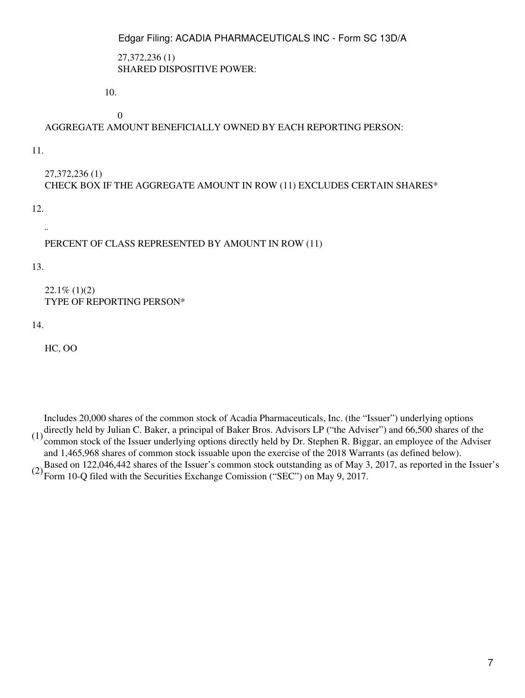27,372,236 (1) SHARED DISPOSITIVE POWER:

10.

0

AGGREGATE AMOUNT BENEFICIALLY OWNED BY EACH REPORTING PERSON:

11.

27,372,236 (1) CHECK BOX IF THE AGGREGATE AMOUNT IN ROW (11) EXCLUDES CERTAIN SHARES\*

12.

¨

PERCENT OF CLASS REPRESENTED BY AMOUNT IN ROW (11)

13.

 $22.1\%$  (1)(2) TYPE OF REPORTING PERSON\*

14.

HC, OO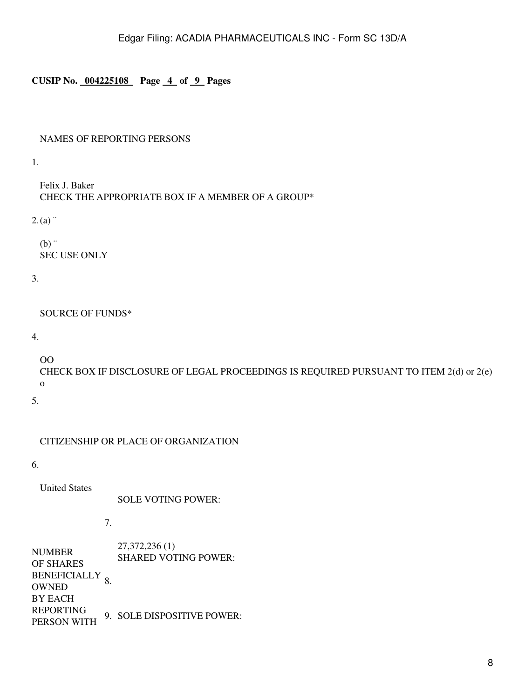## **CUSIP No. 004225108 Page 4 of 9 Pages**

### NAMES OF REPORTING PERSONS

1.

Felix J. Baker CHECK THE APPROPRIATE BOX IF A MEMBER OF A GROUP\* 

 $2(a)$ 

 $(b)$ . SEC USE ONLY

3.

SOURCE OF FUNDS\*

4.

OO

CHECK BOX IF DISCLOSURE OF LEGAL PROCEEDINGS IS REQUIRED PURSUANT TO ITEM 2(d) or 2(e) o

5.

CITIZENSHIP OR PLACE OF ORGANIZATION

6.

United States

SOLE VOTING POWER:

7.

NUMBER OF SHARES BENEFICIALLY 8. **OWNED** BY EACH REPORTING PERSON WITH 27,372,236 (1) SHARED VOTING POWER: 9. SOLE DISPOSITIVE POWER: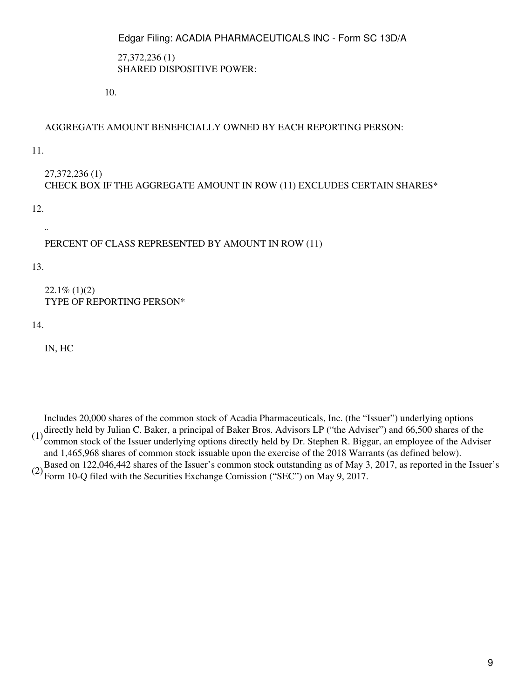27,372,236 (1) SHARED DISPOSITIVE POWER:

10.

# AGGREGATE AMOUNT BENEFICIALLY OWNED BY EACH REPORTING PERSON:

11.

27,372,236 (1) CHECK BOX IF THE AGGREGATE AMOUNT IN ROW (11) EXCLUDES CERTAIN SHARES\*

12.

¨

# PERCENT OF CLASS REPRESENTED BY AMOUNT IN ROW (11)

13.

 $22.1\%$  (1)(2) TYPE OF REPORTING PERSON\*

14.

IN, HC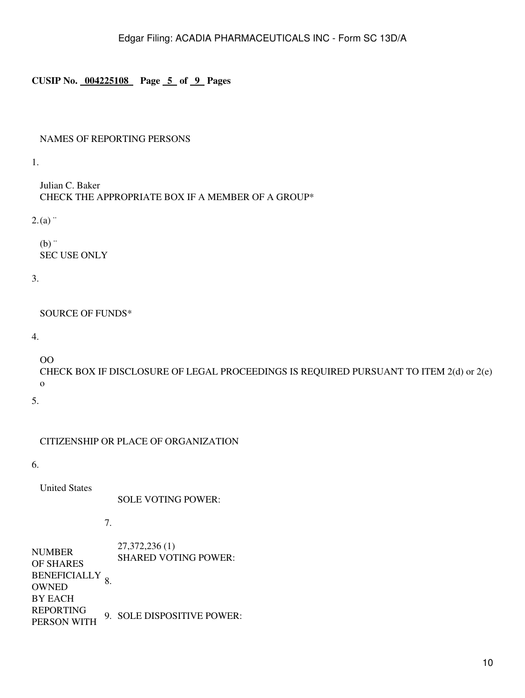# **CUSIP No. 004225108 Page 5 of 9 Pages**

## NAMES OF REPORTING PERSONS

1.

Julian C. Baker CHECK THE APPROPRIATE BOX IF A MEMBER OF A GROUP\* 

 $2(a)$ 

 $(b)$ . SEC USE ONLY

3.

SOURCE OF FUNDS\*

4.

OO

CHECK BOX IF DISCLOSURE OF LEGAL PROCEEDINGS IS REQUIRED PURSUANT TO ITEM 2(d) or 2(e) o

5.

CITIZENSHIP OR PLACE OF ORGANIZATION

6.

United States

SOLE VOTING POWER:

7.

NUMBER OF SHARES BENEFICIALLY 8. **OWNED** BY EACH REPORTING PERSON WITH 27,372,236 (1) SHARED VOTING POWER: 9. SOLE DISPOSITIVE POWER: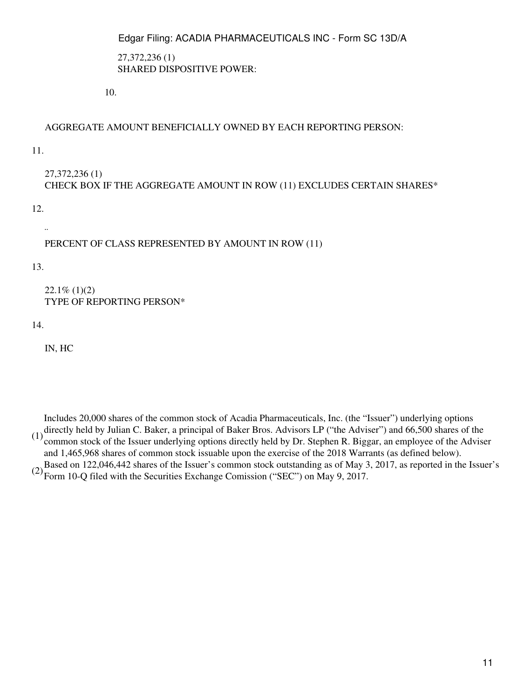27,372,236 (1) SHARED DISPOSITIVE POWER:

10.

# AGGREGATE AMOUNT BENEFICIALLY OWNED BY EACH REPORTING PERSON:

11.

27,372,236 (1) CHECK BOX IF THE AGGREGATE AMOUNT IN ROW (11) EXCLUDES CERTAIN SHARES\*

12.

¨

# PERCENT OF CLASS REPRESENTED BY AMOUNT IN ROW (11)

13.

 $22.1\%$  (1)(2) TYPE OF REPORTING PERSON\*

14.

IN, HC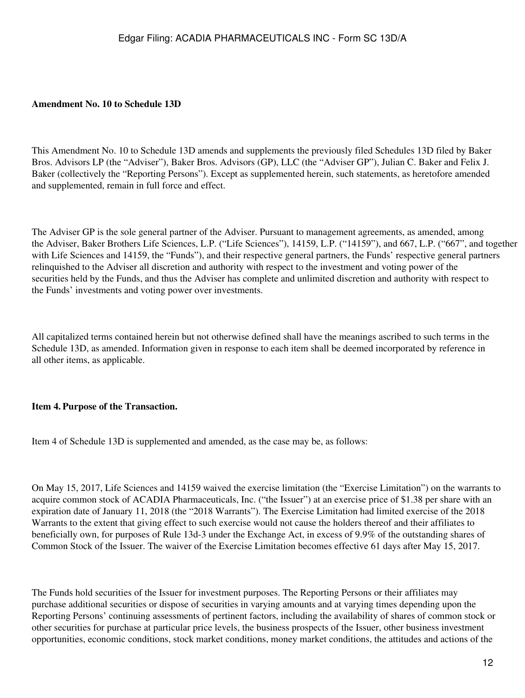### **Amendment No. 10 to Schedule 13D**

This Amendment No. 10 to Schedule 13D amends and supplements the previously filed Schedules 13D filed by Baker Bros. Advisors LP (the "Adviser"), Baker Bros. Advisors (GP), LLC (the "Adviser GP"), Julian C. Baker and Felix J. Baker (collectively the "Reporting Persons"). Except as supplemented herein, such statements, as heretofore amended and supplemented, remain in full force and effect.

The Adviser GP is the sole general partner of the Adviser. Pursuant to management agreements, as amended, among the Adviser, Baker Brothers Life Sciences, L.P. ("Life Sciences"), 14159, L.P. ("14159"), and 667, L.P. ("667", and together with Life Sciences and 14159, the "Funds"), and their respective general partners, the Funds' respective general partners relinquished to the Adviser all discretion and authority with respect to the investment and voting power of the securities held by the Funds, and thus the Adviser has complete and unlimited discretion and authority with respect to the Funds' investments and voting power over investments.

All capitalized terms contained herein but not otherwise defined shall have the meanings ascribed to such terms in the Schedule 13D, as amended. Information given in response to each item shall be deemed incorporated by reference in all other items, as applicable.

### **Item 4. Purpose of the Transaction.**

Item 4 of Schedule 13D is supplemented and amended, as the case may be, as follows:

On May 15, 2017, Life Sciences and 14159 waived the exercise limitation (the "Exercise Limitation") on the warrants to acquire common stock of ACADIA Pharmaceuticals, Inc. ("the Issuer") at an exercise price of \$1.38 per share with an expiration date of January 11, 2018 (the "2018 Warrants"). The Exercise Limitation had limited exercise of the 2018 Warrants to the extent that giving effect to such exercise would not cause the holders thereof and their affiliates to beneficially own, for purposes of Rule 13d-3 under the Exchange Act, in excess of 9.9% of the outstanding shares of Common Stock of the Issuer. The waiver of the Exercise Limitation becomes effective 61 days after May 15, 2017.

The Funds hold securities of the Issuer for investment purposes. The Reporting Persons or their affiliates may purchase additional securities or dispose of securities in varying amounts and at varying times depending upon the Reporting Persons' continuing assessments of pertinent factors, including the availability of shares of common stock or other securities for purchase at particular price levels, the business prospects of the Issuer, other business investment opportunities, economic conditions, stock market conditions, money market conditions, the attitudes and actions of the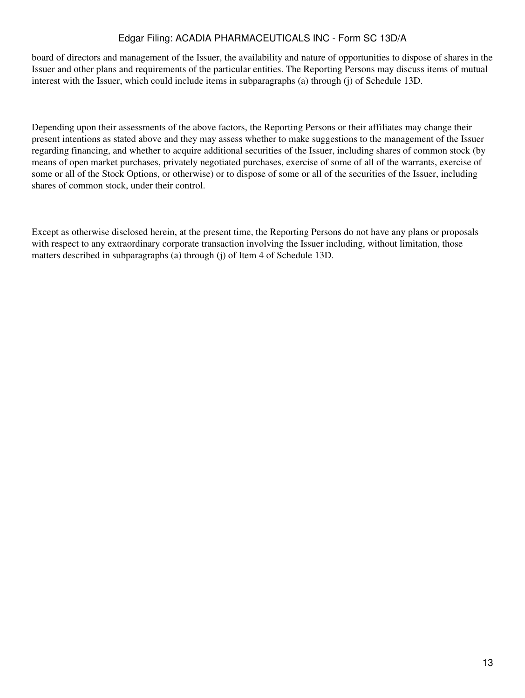board of directors and management of the Issuer, the availability and nature of opportunities to dispose of shares in the Issuer and other plans and requirements of the particular entities. The Reporting Persons may discuss items of mutual interest with the Issuer, which could include items in subparagraphs (a) through (j) of Schedule 13D.

Depending upon their assessments of the above factors, the Reporting Persons or their affiliates may change their present intentions as stated above and they may assess whether to make suggestions to the management of the Issuer regarding financing, and whether to acquire additional securities of the Issuer, including shares of common stock (by means of open market purchases, privately negotiated purchases, exercise of some of all of the warrants, exercise of some or all of the Stock Options, or otherwise) or to dispose of some or all of the securities of the Issuer, including shares of common stock, under their control.

Except as otherwise disclosed herein, at the present time, the Reporting Persons do not have any plans or proposals with respect to any extraordinary corporate transaction involving the Issuer including, without limitation, those matters described in subparagraphs (a) through (j) of Item 4 of Schedule 13D.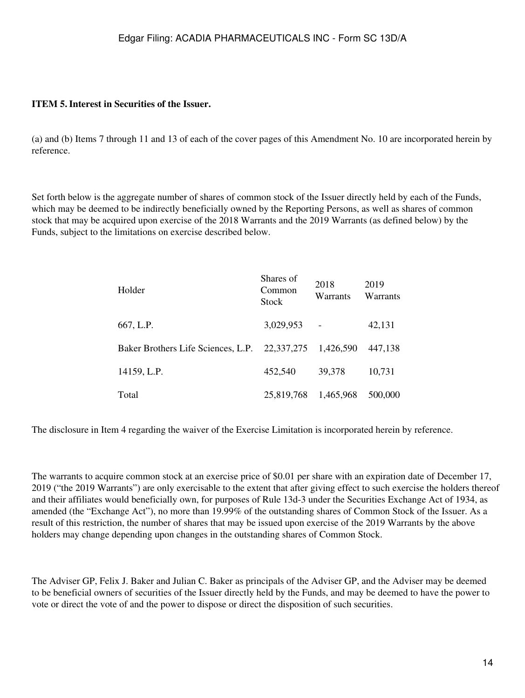# **ITEM 5.Interest in Securities of the Issuer.**

(a) and (b) Items 7 through 11 and 13 of each of the cover pages of this Amendment No. 10 are incorporated herein by reference.

Set forth below is the aggregate number of shares of common stock of the Issuer directly held by each of the Funds, which may be deemed to be indirectly beneficially owned by the Reporting Persons, as well as shares of common stock that may be acquired upon exercise of the 2018 Warrants and the 2019 Warrants (as defined below) by the Funds, subject to the limitations on exercise described below.

| Holder                             | Shares of<br>Common<br>Stock | 2018<br>Warrants | 2019<br>Warrants |
|------------------------------------|------------------------------|------------------|------------------|
| 667, L.P.                          | 3,029,953                    |                  | 42,131           |
| Baker Brothers Life Sciences, L.P. | 22,337,275                   | 1,426,590        | 447.138          |
| 14159, L.P.                        | 452,540                      | 39,378           | 10,731           |
| Total                              | 25,819,768                   | 1,465,968        | 500,000          |

The disclosure in Item 4 regarding the waiver of the Exercise Limitation is incorporated herein by reference.

The warrants to acquire common stock at an exercise price of \$0.01 per share with an expiration date of December 17, 2019 ("the 2019 Warrants") are only exercisable to the extent that after giving effect to such exercise the holders thereof and their affiliates would beneficially own, for purposes of Rule 13d-3 under the Securities Exchange Act of 1934, as amended (the "Exchange Act"), no more than 19.99% of the outstanding shares of Common Stock of the Issuer. As a result of this restriction, the number of shares that may be issued upon exercise of the 2019 Warrants by the above holders may change depending upon changes in the outstanding shares of Common Stock.

The Adviser GP, Felix J. Baker and Julian C. Baker as principals of the Adviser GP, and the Adviser may be deemed to be beneficial owners of securities of the Issuer directly held by the Funds, and may be deemed to have the power to vote or direct the vote of and the power to dispose or direct the disposition of such securities.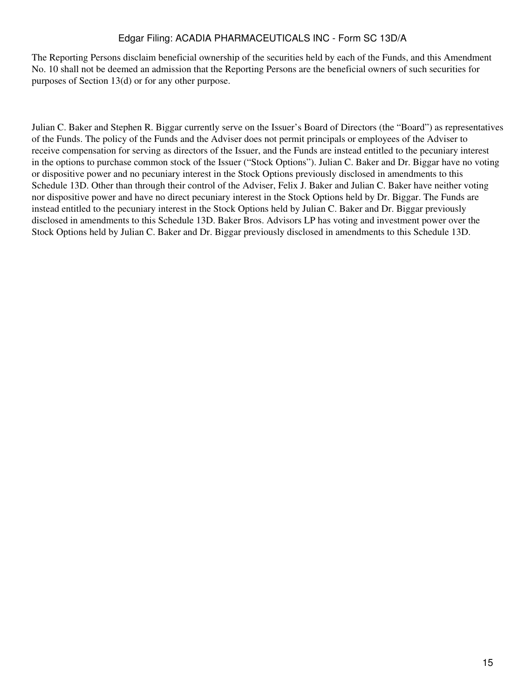The Reporting Persons disclaim beneficial ownership of the securities held by each of the Funds, and this Amendment No. 10 shall not be deemed an admission that the Reporting Persons are the beneficial owners of such securities for purposes of Section 13(d) or for any other purpose.

Julian C. Baker and Stephen R. Biggar currently serve on the Issuer's Board of Directors (the "Board") as representatives of the Funds. The policy of the Funds and the Adviser does not permit principals or employees of the Adviser to receive compensation for serving as directors of the Issuer, and the Funds are instead entitled to the pecuniary interest in the options to purchase common stock of the Issuer ("Stock Options"). Julian C. Baker and Dr. Biggar have no voting or dispositive power and no pecuniary interest in the Stock Options previously disclosed in amendments to this Schedule 13D. Other than through their control of the Adviser, Felix J. Baker and Julian C. Baker have neither voting nor dispositive power and have no direct pecuniary interest in the Stock Options held by Dr. Biggar. The Funds are instead entitled to the pecuniary interest in the Stock Options held by Julian C. Baker and Dr. Biggar previously disclosed in amendments to this Schedule 13D. Baker Bros. Advisors LP has voting and investment power over the Stock Options held by Julian C. Baker and Dr. Biggar previously disclosed in amendments to this Schedule 13D.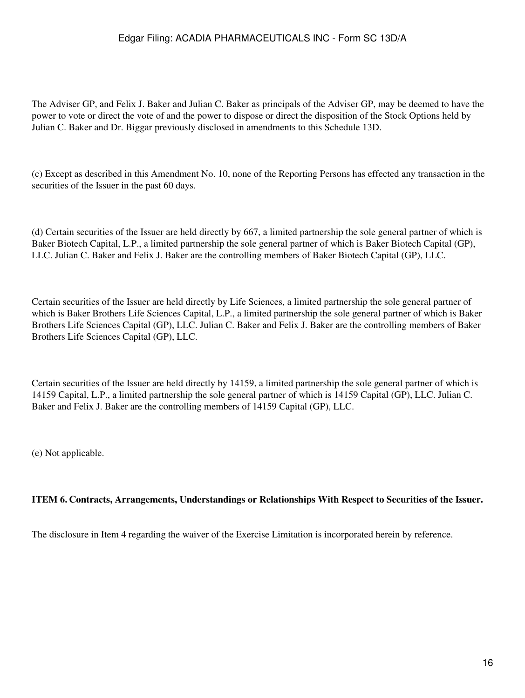The Adviser GP, and Felix J. Baker and Julian C. Baker as principals of the Adviser GP, may be deemed to have the power to vote or direct the vote of and the power to dispose or direct the disposition of the Stock Options held by Julian C. Baker and Dr. Biggar previously disclosed in amendments to this Schedule 13D.

(c) Except as described in this Amendment No. 10, none of the Reporting Persons has effected any transaction in the securities of the Issuer in the past 60 days.

(d) Certain securities of the Issuer are held directly by 667, a limited partnership the sole general partner of which is Baker Biotech Capital, L.P., a limited partnership the sole general partner of which is Baker Biotech Capital (GP), LLC. Julian C. Baker and Felix J. Baker are the controlling members of Baker Biotech Capital (GP), LLC.

Certain securities of the Issuer are held directly by Life Sciences, a limited partnership the sole general partner of which is Baker Brothers Life Sciences Capital, L.P., a limited partnership the sole general partner of which is Baker Brothers Life Sciences Capital (GP), LLC. Julian C. Baker and Felix J. Baker are the controlling members of Baker Brothers Life Sciences Capital (GP), LLC.

Certain securities of the Issuer are held directly by 14159, a limited partnership the sole general partner of which is 14159 Capital, L.P., a limited partnership the sole general partner of which is 14159 Capital (GP), LLC. Julian C. Baker and Felix J. Baker are the controlling members of 14159 Capital (GP), LLC.

(e) Not applicable.

### **ITEM 6. Contracts, Arrangements, Understandings or Relationships With Respect to Securities of the Issuer.**

The disclosure in Item 4 regarding the waiver of the Exercise Limitation is incorporated herein by reference.